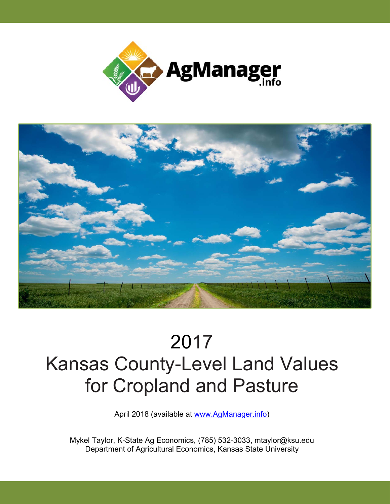



## 2017 Kansas County-Level Land Values for Cropland and Pasture<br>April 2018 (available at www.AgManager.info)

Mykel Taylor, K-State Ag Economics, (785) 532-3033, mtaylor@ksu.edu Department of Agricultural Economics, Kansas State University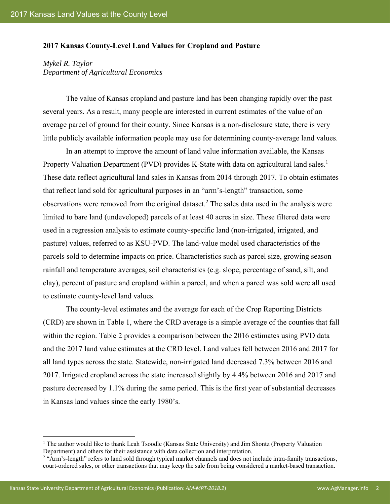## **2017 Kansas County-Level Land Values for Cropland and Pasture**

*Mykel R. Taylor Department of Agricultural Economics* 

The value of Kansas cropland and pasture land has been changing rapidly over the past several years. As a result, many people are interested in current estimates of the value of an average parcel of ground for their county. Since Kansas is a non-disclosure state, there is very little publicly available information people may use for determining county-average land values.

In an attempt to improve the amount of land value information available, the Kansas Property Valuation Department (PVD) provides K-State with data on agricultural land sales.<sup>1</sup> These data reflect agricultural land sales in Kansas from 2014 through 2017. To obtain estimates that reflect land sold for agricultural purposes in an "arm's-length" transaction, some observations were removed from the original dataset.<sup>2</sup> The sales data used in the analysis were limited to bare land (undeveloped) parcels of at least 40 acres in size. These filtered data were used in a regression analysis to estimate county-specific land (non-irrigated, irrigated, and pasture) values, referred to as KSU-PVD. The land-value model used characteristics of the parcels sold to determine impacts on price. Characteristics such as parcel size, growing season rainfall and temperature averages, soil characteristics (e.g. slope, percentage of sand, silt, and clay), percent of pasture and cropland within a parcel, and when a parcel was sold were all used to estimate county-level land values.

The county-level estimates and the average for each of the Crop Reporting Districts (CRD) are shown in Table 1, where the CRD average is a simple average of the counties that fall within the region. Table 2 provides a comparison between the 2016 estimates using PVD data and the 2017 land value estimates at the CRD level. Land values fell between 2016 and 2017 for all land types across the state. Statewide, non-irrigated land decreased 7.3% between 2016 and 2017. Irrigated cropland across the state increased slightly by 4.4% between 2016 and 2017 and pasture decreased by 1.1% during the same period. This is the first year of substantial decreases in Kansas land values since the early 1980's.

 $\overline{a}$ 

<sup>&</sup>lt;sup>1</sup> The author would like to thank Leah Tsoodle (Kansas State University) and Jim Shontz (Property Valuation Department) and others for their assistance with data collection and interpretation. 2

<sup>&</sup>lt;sup>2</sup> "Arm's-length" refers to land sold through typical market channels and does not include intra-family transactions, court-ordered sales, or other transactions that may keep the sale from being considered a market-based transaction.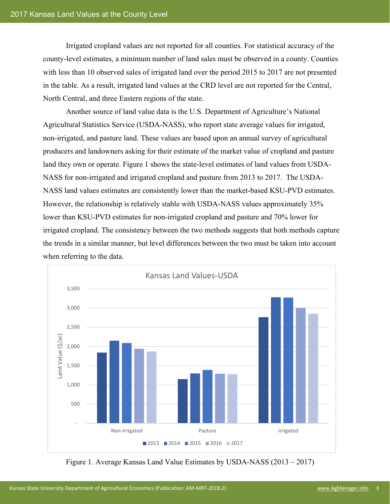Irrigated cropland values are not reported for all counties. For statistical accuracy of the county-level estimates, a minimum number of land sales must be observed in a county. Counties with less than 10 observed sales of irrigated land over the period 2015 to 2017 are not presented in the table. As a result, irrigated land values at the CRD level are not reported for the Central, North Central, and three Eastern regions of the state.

Another source of land value data is the U.S. Department of Agriculture's National Agricultural Statistics Service (USDA-NASS), who report state average values for irrigated, non-irrigated, and pasture land. These values are based upon an annual survey of agricultural producers and landowners asking for their estimate of the market value of cropland and pasture land they own or operate. Figure 1 shows the state-level estimates of land values from USDA-NASS for non-irrigated and irrigated cropland and pasture from 2013 to 2017. The USDA-NASS land values estimates are consistently lower than the market-based KSU-PVD estimates. However, the relationship is relatively stable with USDA-NASS values approximately 35% lower than KSU-PVD estimates for non-irrigated cropland and pasture and 70% lower for irrigated cropland. The consistency between the two methods suggests that both methods capture the trends in a similar manner, but level differences between the two must be taken into account when referring to the data.



Figure 1. Average Kansas Land Value Estimates by USDA-NASS (2013 – 2017)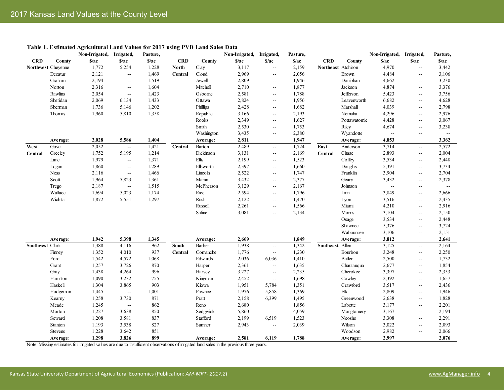| Non-Irrigated, Irrigated,<br><b>CRD</b><br>S/ac<br><b>CRD</b><br>S/ac<br>$\sqrt{\phantom{a}}$<br>$\sqrt{\phantom{a}}$<br><b>CRD</b><br>S/ac<br>County<br>$\frac{s}{ac}$<br>S/ac<br>County<br>County<br>1,772<br>3,117<br>2,159<br>4,970<br>Northwest Cheyenne<br>5,254<br>1,228<br><b>North</b><br>Clay<br>Northeast Atchison<br>$\mathbb{L}^{\mathbb{L}}$<br>2,121<br>2,969<br>2,056<br>4,484<br>Decatur<br>1,469<br>Cloud<br>Brown<br>Central<br>$\overline{\phantom{a}}$<br>44<br>2,194<br>1,519<br>2,809<br>1,946<br>Graham<br>Jewell<br>Doniphan<br>$\overline{a}$<br>$\sim$ $\sim$<br>2,316<br>1,604<br>Mitchell<br>2,710<br>1,877<br>Jackson<br>4,874<br>Norton<br>$\sim$ $-$<br>$\sim$ $-$<br>2,581<br>1,788<br>Jefferson<br>5,423<br>Rawlins<br>2,054<br>1,423<br>Osborne<br>$\mathbb{L}^{\mathbb{L}}$<br>$\overline{\phantom{a}}$<br>2,824<br>Sheridan<br>1,433<br>1,956<br>2,069<br>6,134<br>Ottawa<br>Leavenworth<br>$\overline{a}$<br>1,202<br>2,428<br>1,682<br>4,039<br>Sherman<br>1,736<br>5,146<br>Phillips<br>Marshall<br>$\overline{a}$<br>3,166<br>Thomas<br>1,960<br>5,810<br>1,358<br>Republic<br>2,193<br>Nemaha<br>$\overline{\phantom{a}}$<br>1,627<br>Rooks<br>2,349<br>Pottawatomie<br>$\overline{\phantom{a}}$<br>2,530<br>1,753<br>4,674<br>Smith<br>Riley<br>$\sim$ $\sim$<br>3,435<br>Washington<br>2,380<br>Wyandotte<br>$\sim$ $-$<br>5,586<br>1,404<br>2,811<br>1,947<br>4,853<br>2,028<br>Average:<br>Average:<br>Average:<br>1,724<br>West<br>2,052<br>1,421<br>2,489<br>3,714<br>Gove<br>$\bar{\omega}$<br>Central<br>Barton<br>East<br>Anderson<br>$\sim$ $\sim$<br>3,131<br>2,169<br>Chase<br>2,893<br>Greeley<br>1,752<br>5,195<br>1,214<br>Dickinson<br>Central<br>Central<br>$\overline{\phantom{a}}$<br>Ellis<br>1,523<br>Lane<br>1,979<br>1,371<br>2,199<br>Coffey<br>3,534<br>$\sim$ $\sim$<br>$\sim$ $-$<br>1,289<br>2,397<br>1,660<br>5,391<br>1,860<br>Ellsworth<br>Douglas<br>Logan<br>$\mathbb{L}^2$<br>$\overline{\phantom{a}}$<br>2,522<br>1,747<br>3,904<br>Ness<br>2,116<br>1,466<br>Lincoln<br>Franklin<br>$\mathbb{L}^{\mathbb{L}}$<br>$\sim$ $-$<br>Marian<br>3,432<br>Scott<br>1,964<br>5,823<br>1,361<br>2,377<br>Geary<br>$\overline{a}$<br>3,129<br>2,187<br>1,515<br>McPherson<br>2,167<br>Johnson<br>Trego<br>$\mathbb{L}^{\mathbb{L}}$<br>$\overline{a}$<br>Wallace<br>1,694<br>5,023<br>1,174<br>Rice<br>2,594<br>1,796<br>Linn<br>3,849<br>$\sim$ $-$<br>Wichita<br>1,872<br>5,551<br>1,297<br>2,122<br>1,470<br>Rush<br>Lyon<br>$\sim$ $-$<br>2,261<br>1,566<br>Miami<br>Russell<br>$\overline{a}$<br>Saline<br>3,081<br>2,134<br>Morris<br>3,104<br>$\sim$<br>3,534<br>Osage<br>5,376<br>Shawnee<br>Wabaunsee<br>3,106<br>2,669<br>1,849<br>3,812<br>1,942<br>5,398<br>1,345<br>Average:<br>Average:<br>Average:<br>1,342<br>Southwest Clark<br>1,388<br>962<br>1,938<br>Southeast Allen<br>3,125<br>4,116<br>South<br>Barber<br>$\overline{\phantom{a}}$ | 4,662<br>6,682<br>4,296<br>4,428<br>$\sim$ $\sim$ | S/ac<br>Ξ.<br>$\sim$ $-$<br>$-1$<br>$\overline{\phantom{a}}$<br>$\sim$ $-$<br>$-$<br>н.<br>$\mathcal{L}_{\mathcal{F}}$<br>$\overline{\phantom{a}}$<br>$\overline{a}$<br>$\overline{a}$<br>$\overline{a}$<br>$\sim$ $-$<br>$-$ | Pasture,<br>S/ac<br>3,442<br>3,106<br>3,230<br>3,376<br>3,756<br>4,628<br>2,798<br>2,976<br>3,067<br>3,238<br>$\overline{a}$<br>3,362<br>2,572<br>2,004 |
|-------------------------------------------------------------------------------------------------------------------------------------------------------------------------------------------------------------------------------------------------------------------------------------------------------------------------------------------------------------------------------------------------------------------------------------------------------------------------------------------------------------------------------------------------------------------------------------------------------------------------------------------------------------------------------------------------------------------------------------------------------------------------------------------------------------------------------------------------------------------------------------------------------------------------------------------------------------------------------------------------------------------------------------------------------------------------------------------------------------------------------------------------------------------------------------------------------------------------------------------------------------------------------------------------------------------------------------------------------------------------------------------------------------------------------------------------------------------------------------------------------------------------------------------------------------------------------------------------------------------------------------------------------------------------------------------------------------------------------------------------------------------------------------------------------------------------------------------------------------------------------------------------------------------------------------------------------------------------------------------------------------------------------------------------------------------------------------------------------------------------------------------------------------------------------------------------------------------------------------------------------------------------------------------------------------------------------------------------------------------------------------------------------------------------------------------------------------------------------------------------------------------------------------------------------------------------------------------------------------------------------------------------------------------------------------------------------------------------------------------------------------------------------------------------------------------------------------------------------------------------------------------------------------------------------|---------------------------------------------------|-------------------------------------------------------------------------------------------------------------------------------------------------------------------------------------------------------------------------------|---------------------------------------------------------------------------------------------------------------------------------------------------------|
|                                                                                                                                                                                                                                                                                                                                                                                                                                                                                                                                                                                                                                                                                                                                                                                                                                                                                                                                                                                                                                                                                                                                                                                                                                                                                                                                                                                                                                                                                                                                                                                                                                                                                                                                                                                                                                                                                                                                                                                                                                                                                                                                                                                                                                                                                                                                                                                                                                                                                                                                                                                                                                                                                                                                                                                                                                                                                                                               |                                                   |                                                                                                                                                                                                                               |                                                                                                                                                         |
|                                                                                                                                                                                                                                                                                                                                                                                                                                                                                                                                                                                                                                                                                                                                                                                                                                                                                                                                                                                                                                                                                                                                                                                                                                                                                                                                                                                                                                                                                                                                                                                                                                                                                                                                                                                                                                                                                                                                                                                                                                                                                                                                                                                                                                                                                                                                                                                                                                                                                                                                                                                                                                                                                                                                                                                                                                                                                                                               |                                                   |                                                                                                                                                                                                                               |                                                                                                                                                         |
|                                                                                                                                                                                                                                                                                                                                                                                                                                                                                                                                                                                                                                                                                                                                                                                                                                                                                                                                                                                                                                                                                                                                                                                                                                                                                                                                                                                                                                                                                                                                                                                                                                                                                                                                                                                                                                                                                                                                                                                                                                                                                                                                                                                                                                                                                                                                                                                                                                                                                                                                                                                                                                                                                                                                                                                                                                                                                                                               |                                                   |                                                                                                                                                                                                                               |                                                                                                                                                         |
|                                                                                                                                                                                                                                                                                                                                                                                                                                                                                                                                                                                                                                                                                                                                                                                                                                                                                                                                                                                                                                                                                                                                                                                                                                                                                                                                                                                                                                                                                                                                                                                                                                                                                                                                                                                                                                                                                                                                                                                                                                                                                                                                                                                                                                                                                                                                                                                                                                                                                                                                                                                                                                                                                                                                                                                                                                                                                                                               |                                                   |                                                                                                                                                                                                                               |                                                                                                                                                         |
|                                                                                                                                                                                                                                                                                                                                                                                                                                                                                                                                                                                                                                                                                                                                                                                                                                                                                                                                                                                                                                                                                                                                                                                                                                                                                                                                                                                                                                                                                                                                                                                                                                                                                                                                                                                                                                                                                                                                                                                                                                                                                                                                                                                                                                                                                                                                                                                                                                                                                                                                                                                                                                                                                                                                                                                                                                                                                                                               |                                                   |                                                                                                                                                                                                                               |                                                                                                                                                         |
|                                                                                                                                                                                                                                                                                                                                                                                                                                                                                                                                                                                                                                                                                                                                                                                                                                                                                                                                                                                                                                                                                                                                                                                                                                                                                                                                                                                                                                                                                                                                                                                                                                                                                                                                                                                                                                                                                                                                                                                                                                                                                                                                                                                                                                                                                                                                                                                                                                                                                                                                                                                                                                                                                                                                                                                                                                                                                                                               |                                                   |                                                                                                                                                                                                                               |                                                                                                                                                         |
|                                                                                                                                                                                                                                                                                                                                                                                                                                                                                                                                                                                                                                                                                                                                                                                                                                                                                                                                                                                                                                                                                                                                                                                                                                                                                                                                                                                                                                                                                                                                                                                                                                                                                                                                                                                                                                                                                                                                                                                                                                                                                                                                                                                                                                                                                                                                                                                                                                                                                                                                                                                                                                                                                                                                                                                                                                                                                                                               |                                                   |                                                                                                                                                                                                                               |                                                                                                                                                         |
|                                                                                                                                                                                                                                                                                                                                                                                                                                                                                                                                                                                                                                                                                                                                                                                                                                                                                                                                                                                                                                                                                                                                                                                                                                                                                                                                                                                                                                                                                                                                                                                                                                                                                                                                                                                                                                                                                                                                                                                                                                                                                                                                                                                                                                                                                                                                                                                                                                                                                                                                                                                                                                                                                                                                                                                                                                                                                                                               |                                                   |                                                                                                                                                                                                                               |                                                                                                                                                         |
|                                                                                                                                                                                                                                                                                                                                                                                                                                                                                                                                                                                                                                                                                                                                                                                                                                                                                                                                                                                                                                                                                                                                                                                                                                                                                                                                                                                                                                                                                                                                                                                                                                                                                                                                                                                                                                                                                                                                                                                                                                                                                                                                                                                                                                                                                                                                                                                                                                                                                                                                                                                                                                                                                                                                                                                                                                                                                                                               |                                                   |                                                                                                                                                                                                                               |                                                                                                                                                         |
|                                                                                                                                                                                                                                                                                                                                                                                                                                                                                                                                                                                                                                                                                                                                                                                                                                                                                                                                                                                                                                                                                                                                                                                                                                                                                                                                                                                                                                                                                                                                                                                                                                                                                                                                                                                                                                                                                                                                                                                                                                                                                                                                                                                                                                                                                                                                                                                                                                                                                                                                                                                                                                                                                                                                                                                                                                                                                                                               |                                                   |                                                                                                                                                                                                                               |                                                                                                                                                         |
|                                                                                                                                                                                                                                                                                                                                                                                                                                                                                                                                                                                                                                                                                                                                                                                                                                                                                                                                                                                                                                                                                                                                                                                                                                                                                                                                                                                                                                                                                                                                                                                                                                                                                                                                                                                                                                                                                                                                                                                                                                                                                                                                                                                                                                                                                                                                                                                                                                                                                                                                                                                                                                                                                                                                                                                                                                                                                                                               |                                                   |                                                                                                                                                                                                                               |                                                                                                                                                         |
|                                                                                                                                                                                                                                                                                                                                                                                                                                                                                                                                                                                                                                                                                                                                                                                                                                                                                                                                                                                                                                                                                                                                                                                                                                                                                                                                                                                                                                                                                                                                                                                                                                                                                                                                                                                                                                                                                                                                                                                                                                                                                                                                                                                                                                                                                                                                                                                                                                                                                                                                                                                                                                                                                                                                                                                                                                                                                                                               |                                                   |                                                                                                                                                                                                                               |                                                                                                                                                         |
|                                                                                                                                                                                                                                                                                                                                                                                                                                                                                                                                                                                                                                                                                                                                                                                                                                                                                                                                                                                                                                                                                                                                                                                                                                                                                                                                                                                                                                                                                                                                                                                                                                                                                                                                                                                                                                                                                                                                                                                                                                                                                                                                                                                                                                                                                                                                                                                                                                                                                                                                                                                                                                                                                                                                                                                                                                                                                                                               |                                                   |                                                                                                                                                                                                                               |                                                                                                                                                         |
|                                                                                                                                                                                                                                                                                                                                                                                                                                                                                                                                                                                                                                                                                                                                                                                                                                                                                                                                                                                                                                                                                                                                                                                                                                                                                                                                                                                                                                                                                                                                                                                                                                                                                                                                                                                                                                                                                                                                                                                                                                                                                                                                                                                                                                                                                                                                                                                                                                                                                                                                                                                                                                                                                                                                                                                                                                                                                                                               |                                                   |                                                                                                                                                                                                                               |                                                                                                                                                         |
|                                                                                                                                                                                                                                                                                                                                                                                                                                                                                                                                                                                                                                                                                                                                                                                                                                                                                                                                                                                                                                                                                                                                                                                                                                                                                                                                                                                                                                                                                                                                                                                                                                                                                                                                                                                                                                                                                                                                                                                                                                                                                                                                                                                                                                                                                                                                                                                                                                                                                                                                                                                                                                                                                                                                                                                                                                                                                                                               |                                                   |                                                                                                                                                                                                                               |                                                                                                                                                         |
|                                                                                                                                                                                                                                                                                                                                                                                                                                                                                                                                                                                                                                                                                                                                                                                                                                                                                                                                                                                                                                                                                                                                                                                                                                                                                                                                                                                                                                                                                                                                                                                                                                                                                                                                                                                                                                                                                                                                                                                                                                                                                                                                                                                                                                                                                                                                                                                                                                                                                                                                                                                                                                                                                                                                                                                                                                                                                                                               |                                                   |                                                                                                                                                                                                                               | 2,448                                                                                                                                                   |
|                                                                                                                                                                                                                                                                                                                                                                                                                                                                                                                                                                                                                                                                                                                                                                                                                                                                                                                                                                                                                                                                                                                                                                                                                                                                                                                                                                                                                                                                                                                                                                                                                                                                                                                                                                                                                                                                                                                                                                                                                                                                                                                                                                                                                                                                                                                                                                                                                                                                                                                                                                                                                                                                                                                                                                                                                                                                                                                               |                                                   | $\mathcal{L}_{\mathcal{F}}$                                                                                                                                                                                                   | 3,734                                                                                                                                                   |
|                                                                                                                                                                                                                                                                                                                                                                                                                                                                                                                                                                                                                                                                                                                                                                                                                                                                                                                                                                                                                                                                                                                                                                                                                                                                                                                                                                                                                                                                                                                                                                                                                                                                                                                                                                                                                                                                                                                                                                                                                                                                                                                                                                                                                                                                                                                                                                                                                                                                                                                                                                                                                                                                                                                                                                                                                                                                                                                               |                                                   | $\overline{a}$                                                                                                                                                                                                                | 2,704                                                                                                                                                   |
|                                                                                                                                                                                                                                                                                                                                                                                                                                                                                                                                                                                                                                                                                                                                                                                                                                                                                                                                                                                                                                                                                                                                                                                                                                                                                                                                                                                                                                                                                                                                                                                                                                                                                                                                                                                                                                                                                                                                                                                                                                                                                                                                                                                                                                                                                                                                                                                                                                                                                                                                                                                                                                                                                                                                                                                                                                                                                                                               | 3,432                                             | н.                                                                                                                                                                                                                            | 2,378                                                                                                                                                   |
|                                                                                                                                                                                                                                                                                                                                                                                                                                                                                                                                                                                                                                                                                                                                                                                                                                                                                                                                                                                                                                                                                                                                                                                                                                                                                                                                                                                                                                                                                                                                                                                                                                                                                                                                                                                                                                                                                                                                                                                                                                                                                                                                                                                                                                                                                                                                                                                                                                                                                                                                                                                                                                                                                                                                                                                                                                                                                                                               | $\sim$ $\sim$                                     | $-$                                                                                                                                                                                                                           | $\sim$ $\sim$                                                                                                                                           |
|                                                                                                                                                                                                                                                                                                                                                                                                                                                                                                                                                                                                                                                                                                                                                                                                                                                                                                                                                                                                                                                                                                                                                                                                                                                                                                                                                                                                                                                                                                                                                                                                                                                                                                                                                                                                                                                                                                                                                                                                                                                                                                                                                                                                                                                                                                                                                                                                                                                                                                                                                                                                                                                                                                                                                                                                                                                                                                                               |                                                   | $\overline{\phantom{a}}$                                                                                                                                                                                                      | 2,666                                                                                                                                                   |
|                                                                                                                                                                                                                                                                                                                                                                                                                                                                                                                                                                                                                                                                                                                                                                                                                                                                                                                                                                                                                                                                                                                                                                                                                                                                                                                                                                                                                                                                                                                                                                                                                                                                                                                                                                                                                                                                                                                                                                                                                                                                                                                                                                                                                                                                                                                                                                                                                                                                                                                                                                                                                                                                                                                                                                                                                                                                                                                               | 3,516                                             | $-1$                                                                                                                                                                                                                          | 2,435                                                                                                                                                   |
|                                                                                                                                                                                                                                                                                                                                                                                                                                                                                                                                                                                                                                                                                                                                                                                                                                                                                                                                                                                                                                                                                                                                                                                                                                                                                                                                                                                                                                                                                                                                                                                                                                                                                                                                                                                                                                                                                                                                                                                                                                                                                                                                                                                                                                                                                                                                                                                                                                                                                                                                                                                                                                                                                                                                                                                                                                                                                                                               | 4,210                                             | $\overline{a}$                                                                                                                                                                                                                | 2,916                                                                                                                                                   |
|                                                                                                                                                                                                                                                                                                                                                                                                                                                                                                                                                                                                                                                                                                                                                                                                                                                                                                                                                                                                                                                                                                                                                                                                                                                                                                                                                                                                                                                                                                                                                                                                                                                                                                                                                                                                                                                                                                                                                                                                                                                                                                                                                                                                                                                                                                                                                                                                                                                                                                                                                                                                                                                                                                                                                                                                                                                                                                                               |                                                   | $\overline{\phantom{a}}$                                                                                                                                                                                                      | 2,150                                                                                                                                                   |
|                                                                                                                                                                                                                                                                                                                                                                                                                                                                                                                                                                                                                                                                                                                                                                                                                                                                                                                                                                                                                                                                                                                                                                                                                                                                                                                                                                                                                                                                                                                                                                                                                                                                                                                                                                                                                                                                                                                                                                                                                                                                                                                                                                                                                                                                                                                                                                                                                                                                                                                                                                                                                                                                                                                                                                                                                                                                                                                               |                                                   | $\overline{a}$                                                                                                                                                                                                                | 2,448                                                                                                                                                   |
|                                                                                                                                                                                                                                                                                                                                                                                                                                                                                                                                                                                                                                                                                                                                                                                                                                                                                                                                                                                                                                                                                                                                                                                                                                                                                                                                                                                                                                                                                                                                                                                                                                                                                                                                                                                                                                                                                                                                                                                                                                                                                                                                                                                                                                                                                                                                                                                                                                                                                                                                                                                                                                                                                                                                                                                                                                                                                                                               |                                                   | $\overline{a}$                                                                                                                                                                                                                | 3,724                                                                                                                                                   |
|                                                                                                                                                                                                                                                                                                                                                                                                                                                                                                                                                                                                                                                                                                                                                                                                                                                                                                                                                                                                                                                                                                                                                                                                                                                                                                                                                                                                                                                                                                                                                                                                                                                                                                                                                                                                                                                                                                                                                                                                                                                                                                                                                                                                                                                                                                                                                                                                                                                                                                                                                                                                                                                                                                                                                                                                                                                                                                                               |                                                   | $\overline{a}$                                                                                                                                                                                                                | 2,151                                                                                                                                                   |
|                                                                                                                                                                                                                                                                                                                                                                                                                                                                                                                                                                                                                                                                                                                                                                                                                                                                                                                                                                                                                                                                                                                                                                                                                                                                                                                                                                                                                                                                                                                                                                                                                                                                                                                                                                                                                                                                                                                                                                                                                                                                                                                                                                                                                                                                                                                                                                                                                                                                                                                                                                                                                                                                                                                                                                                                                                                                                                                               |                                                   |                                                                                                                                                                                                                               | 2,641                                                                                                                                                   |
|                                                                                                                                                                                                                                                                                                                                                                                                                                                                                                                                                                                                                                                                                                                                                                                                                                                                                                                                                                                                                                                                                                                                                                                                                                                                                                                                                                                                                                                                                                                                                                                                                                                                                                                                                                                                                                                                                                                                                                                                                                                                                                                                                                                                                                                                                                                                                                                                                                                                                                                                                                                                                                                                                                                                                                                                                                                                                                                               |                                                   | $\sim$ $-$                                                                                                                                                                                                                    | 2,164                                                                                                                                                   |
| 4,010<br>1,230<br>3,248<br>Finney<br>1,352<br>937<br>Comanche<br>1,776<br>Bourbon<br>Central<br>$\sim$                                                                                                                                                                                                                                                                                                                                                                                                                                                                                                                                                                                                                                                                                                                                                                                                                                                                                                                                                                                                                                                                                                                                                                                                                                                                                                                                                                                                                                                                                                                                                                                                                                                                                                                                                                                                                                                                                                                                                                                                                                                                                                                                                                                                                                                                                                                                                                                                                                                                                                                                                                                                                                                                                                                                                                                                                        |                                                   | $\overline{a}$                                                                                                                                                                                                                | 2,250                                                                                                                                                   |
| Ford<br>1,542<br>4,572<br>Edwards<br>2,036<br>1,410<br><b>Butler</b><br>2,500<br>1,068<br>6,036                                                                                                                                                                                                                                                                                                                                                                                                                                                                                                                                                                                                                                                                                                                                                                                                                                                                                                                                                                                                                                                                                                                                                                                                                                                                                                                                                                                                                                                                                                                                                                                                                                                                                                                                                                                                                                                                                                                                                                                                                                                                                                                                                                                                                                                                                                                                                                                                                                                                                                                                                                                                                                                                                                                                                                                                                               |                                                   | н.                                                                                                                                                                                                                            | 1,732                                                                                                                                                   |
| 1,635<br>2,677<br>Grant<br>1,257<br>3,726<br>870<br>2,361<br>Chautauqua<br>Harper<br>$\sim$ $\sim$                                                                                                                                                                                                                                                                                                                                                                                                                                                                                                                                                                                                                                                                                                                                                                                                                                                                                                                                                                                                                                                                                                                                                                                                                                                                                                                                                                                                                                                                                                                                                                                                                                                                                                                                                                                                                                                                                                                                                                                                                                                                                                                                                                                                                                                                                                                                                                                                                                                                                                                                                                                                                                                                                                                                                                                                                            |                                                   | $- -$                                                                                                                                                                                                                         | 1,854                                                                                                                                                   |
| 2,235<br>1,438<br>4,264<br>996<br>3,227<br>3,397<br>Gray<br>Harvey<br>Cherokee<br>$\sim$ $\sim$                                                                                                                                                                                                                                                                                                                                                                                                                                                                                                                                                                                                                                                                                                                                                                                                                                                                                                                                                                                                                                                                                                                                                                                                                                                                                                                                                                                                                                                                                                                                                                                                                                                                                                                                                                                                                                                                                                                                                                                                                                                                                                                                                                                                                                                                                                                                                                                                                                                                                                                                                                                                                                                                                                                                                                                                                               |                                                   | $\overline{a}$                                                                                                                                                                                                                | 2,353                                                                                                                                                   |
| Hamilton<br>3,232<br>1,698<br>2,392<br>1,090<br>755<br>Kingman<br>2,452<br>Cowley<br>$\mathcal{L}_{\mathcal{F}}$                                                                                                                                                                                                                                                                                                                                                                                                                                                                                                                                                                                                                                                                                                                                                                                                                                                                                                                                                                                                                                                                                                                                                                                                                                                                                                                                                                                                                                                                                                                                                                                                                                                                                                                                                                                                                                                                                                                                                                                                                                                                                                                                                                                                                                                                                                                                                                                                                                                                                                                                                                                                                                                                                                                                                                                                              |                                                   | $\overline{a}$                                                                                                                                                                                                                | 1,657                                                                                                                                                   |
| Haskell<br>3,517<br>1,304<br>3,865<br>903<br>1,951<br>1,351<br>Crawford<br>Kiowa<br>5,784                                                                                                                                                                                                                                                                                                                                                                                                                                                                                                                                                                                                                                                                                                                                                                                                                                                                                                                                                                                                                                                                                                                                                                                                                                                                                                                                                                                                                                                                                                                                                                                                                                                                                                                                                                                                                                                                                                                                                                                                                                                                                                                                                                                                                                                                                                                                                                                                                                                                                                                                                                                                                                                                                                                                                                                                                                     |                                                   | $-$                                                                                                                                                                                                                           | 2,436                                                                                                                                                   |
| 1,369<br>$\ensuremath{\text{Elk}}$<br>2,809<br>1,445<br>1,001<br>1,976<br>Hodgeman<br>$\ddotsc$<br>Pawnee<br>5,858                                                                                                                                                                                                                                                                                                                                                                                                                                                                                                                                                                                                                                                                                                                                                                                                                                                                                                                                                                                                                                                                                                                                                                                                                                                                                                                                                                                                                                                                                                                                                                                                                                                                                                                                                                                                                                                                                                                                                                                                                                                                                                                                                                                                                                                                                                                                                                                                                                                                                                                                                                                                                                                                                                                                                                                                            |                                                   | н.                                                                                                                                                                                                                            | 1,946                                                                                                                                                   |
| 1,258<br>3,730<br>$871\,$<br>2,158<br>6,399<br>1,495<br>2,638<br>Pratt<br>Greenwood<br>Kearny                                                                                                                                                                                                                                                                                                                                                                                                                                                                                                                                                                                                                                                                                                                                                                                                                                                                                                                                                                                                                                                                                                                                                                                                                                                                                                                                                                                                                                                                                                                                                                                                                                                                                                                                                                                                                                                                                                                                                                                                                                                                                                                                                                                                                                                                                                                                                                                                                                                                                                                                                                                                                                                                                                                                                                                                                                 |                                                   | $\overline{a}$                                                                                                                                                                                                                | 1,828                                                                                                                                                   |
| Meade<br>1,856<br>1,245<br>862<br>2,680<br>Labette<br>Reno<br>$\sim$ $\sim$                                                                                                                                                                                                                                                                                                                                                                                                                                                                                                                                                                                                                                                                                                                                                                                                                                                                                                                                                                                                                                                                                                                                                                                                                                                                                                                                                                                                                                                                                                                                                                                                                                                                                                                                                                                                                                                                                                                                                                                                                                                                                                                                                                                                                                                                                                                                                                                                                                                                                                                                                                                                                                                                                                                                                                                                                                                   | 3,177                                             | $- -$                                                                                                                                                                                                                         | 2,201                                                                                                                                                   |
| 4,059<br>1,227<br>3,638<br>850<br>5,860<br>3,167<br>Morton<br>Sedgwick<br>Mongtomery<br>$\sim$                                                                                                                                                                                                                                                                                                                                                                                                                                                                                                                                                                                                                                                                                                                                                                                                                                                                                                                                                                                                                                                                                                                                                                                                                                                                                                                                                                                                                                                                                                                                                                                                                                                                                                                                                                                                                                                                                                                                                                                                                                                                                                                                                                                                                                                                                                                                                                                                                                                                                                                                                                                                                                                                                                                                                                                                                                |                                                   | н.                                                                                                                                                                                                                            | 2,194                                                                                                                                                   |
| 2,199<br>1,523<br>1,208<br>3,581<br>837<br>Stafford<br>Neosho<br>3,308<br>Seward<br>6,519                                                                                                                                                                                                                                                                                                                                                                                                                                                                                                                                                                                                                                                                                                                                                                                                                                                                                                                                                                                                                                                                                                                                                                                                                                                                                                                                                                                                                                                                                                                                                                                                                                                                                                                                                                                                                                                                                                                                                                                                                                                                                                                                                                                                                                                                                                                                                                                                                                                                                                                                                                                                                                                                                                                                                                                                                                     |                                                   | н.                                                                                                                                                                                                                            | 2,291                                                                                                                                                   |
| 1,193<br>3,538<br>827<br>2,039<br>Wilson<br>Stanton<br>2,943<br>Sumner<br>$\overline{\phantom{a}}$                                                                                                                                                                                                                                                                                                                                                                                                                                                                                                                                                                                                                                                                                                                                                                                                                                                                                                                                                                                                                                                                                                                                                                                                                                                                                                                                                                                                                                                                                                                                                                                                                                                                                                                                                                                                                                                                                                                                                                                                                                                                                                                                                                                                                                                                                                                                                                                                                                                                                                                                                                                                                                                                                                                                                                                                                            | 3,022                                             | $\overline{\phantom{a}}$                                                                                                                                                                                                      | 2,093                                                                                                                                                   |
| 3,642<br><b>Stevens</b><br>1,228<br>851<br>Woodson<br>2,982                                                                                                                                                                                                                                                                                                                                                                                                                                                                                                                                                                                                                                                                                                                                                                                                                                                                                                                                                                                                                                                                                                                                                                                                                                                                                                                                                                                                                                                                                                                                                                                                                                                                                                                                                                                                                                                                                                                                                                                                                                                                                                                                                                                                                                                                                                                                                                                                                                                                                                                                                                                                                                                                                                                                                                                                                                                                   |                                                   | $\overline{a}$                                                                                                                                                                                                                | 2,066                                                                                                                                                   |
| 1,298<br>3,826<br>899<br>2,997<br>2,581<br>6,119<br>1,788<br>Average:<br>Average:<br>Average:                                                                                                                                                                                                                                                                                                                                                                                                                                                                                                                                                                                                                                                                                                                                                                                                                                                                                                                                                                                                                                                                                                                                                                                                                                                                                                                                                                                                                                                                                                                                                                                                                                                                                                                                                                                                                                                                                                                                                                                                                                                                                                                                                                                                                                                                                                                                                                                                                                                                                                                                                                                                                                                                                                                                                                                                                                 |                                                   |                                                                                                                                                                                                                               | 2,076                                                                                                                                                   |

## **Table 1. Estimated Agricultural Land Values for 2017 using PVD Land Sales Data**

Note: Missing estimates for irrigated values are due to insufficient observations of irrigated land sales in the previous three years.